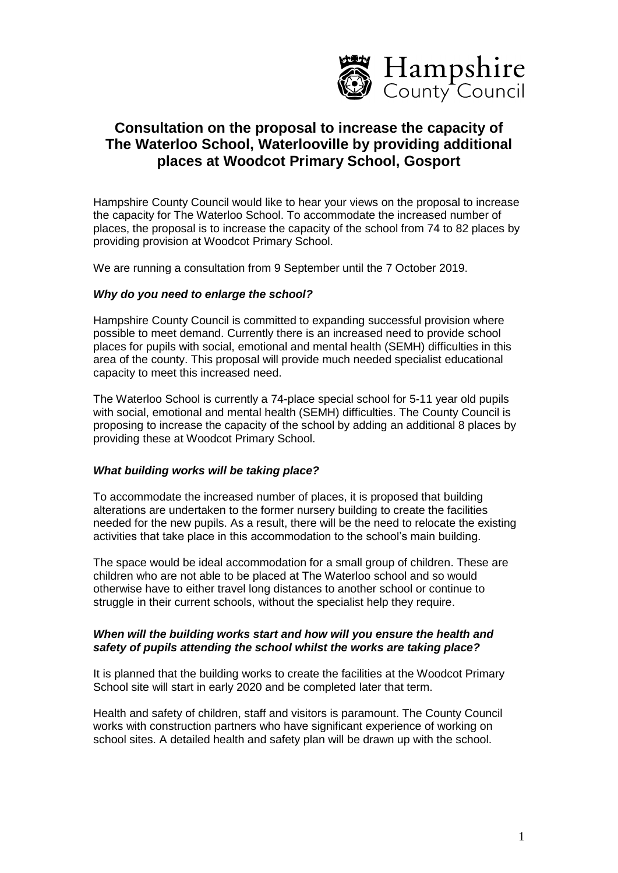

# **Consultation on the proposal to increase the capacity of The Waterloo School, Waterlooville by providing additional places at Woodcot Primary School, Gosport**

Hampshire County Council would like to hear your views on the proposal to increase the capacity for The Waterloo School. To accommodate the increased number of places, the proposal is to increase the capacity of the school from 74 to 82 places by providing provision at Woodcot Primary School.

We are running a consultation from 9 September until the 7 October 2019.

## *Why do you need to enlarge the school?*

Hampshire County Council is committed to expanding successful provision where possible to meet demand. Currently there is an increased need to provide school places for pupils with social, emotional and mental health (SEMH) difficulties in this area of the county. This proposal will provide much needed specialist educational capacity to meet this increased need.

The Waterloo School is currently a 74-place special school for 5-11 year old pupils with social, emotional and mental health (SEMH) difficulties. The County Council is proposing to increase the capacity of the school by adding an additional 8 places by providing these at Woodcot Primary School.

## *What building works will be taking place?*

To accommodate the increased number of places, it is proposed that building alterations are undertaken to the former nursery building to create the facilities needed for the new pupils. As a result, there will be the need to relocate the existing activities that take place in this accommodation to the school's main building.

The space would be ideal accommodation for a small group of children. These are children who are not able to be placed at The Waterloo school and so would otherwise have to either travel long distances to another school or continue to struggle in their current schools, without the specialist help they require.

#### *When will the building works start and how will you ensure the health and safety of pupils attending the school whilst the works are taking place?*

It is planned that the building works to create the facilities at the Woodcot Primary School site will start in early 2020 and be completed later that term.

Health and safety of children, staff and visitors is paramount. The County Council works with construction partners who have significant experience of working on school sites. A detailed health and safety plan will be drawn up with the school.